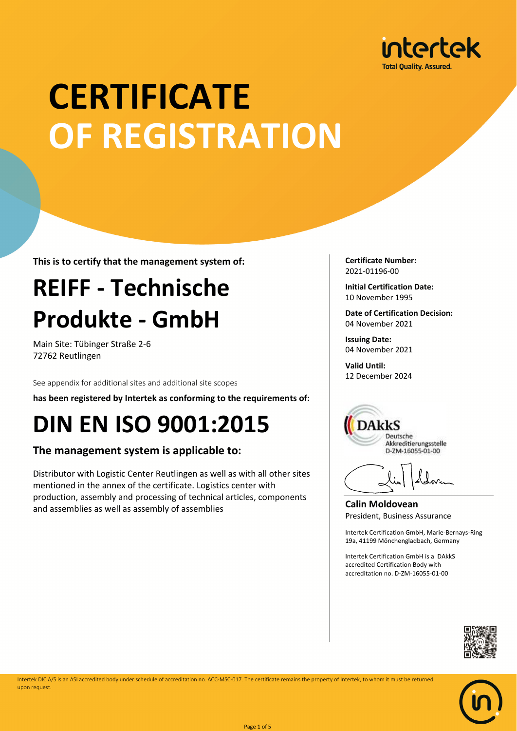

# **CERTIFICATE OF REGISTRATION**

**This is to certify that the management system of:**

## **REIFF - Technische Produkte - GmbH**

Main Site: Tübinger Straße 2-6 72762 Reutlingen

See appendix for additional sites and additional site scopes

**has been registered by Intertek as conforming to the requirements of:**

### **DIN EN ISO 9001:2015**

#### **The management system is applicable to:**

Distributor with Logistic Center Reutlingen as well as with all other sites mentioned in the annex of the certificate. Logistics center with production, assembly and processing of technical articles, components and assemblies as well as assembly of assemblies

**Certificate Number:** 2021-01196-00

**Initial Certification Date:** 10 November 1995

**Date of Certification Decision:** 04 November 2021

**Issuing Date:** 04 November 2021

**Valid Until:** 12 December 2024



**Calin Moldovean** President, Business Assurance

Intertek Certification GmbH, Marie-Bernays-Ring 19a, 41199 Mönchengladbach, Germany

Intertek Certification GmbH is a DAkkS accredited Certification Body with accreditation no. D-ZM-16055-01-00





Intertek DIC A/S is an ASI accredited body under schedule of accreditation no. ACC-MSC-017. The certificate remains the property of Intertek, to whom it must be returned upon request.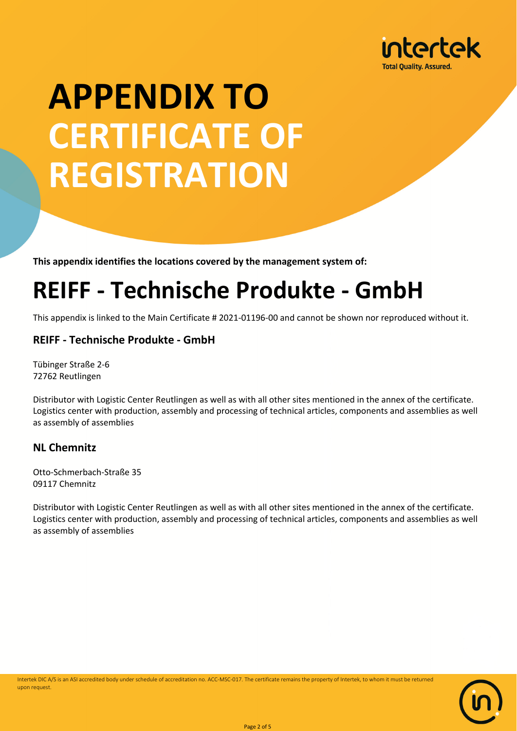

**This appendix identifies the locations covered by the management system of:**

### **REIFF - Technische Produkte - GmbH**

This appendix is linked to the Main Certificate # 2021-01196-00 and cannot be shown nor reproduced without it.

#### **REIFF - Technische Produkte - GmbH**

Tübinger Straße 2-6 72762 Reutlingen

Distributor with Logistic Center Reutlingen as well as with all other sites mentioned in the annex of the certificate. Logistics center with production, assembly and processing of technical articles, components and assemblies as well as assembly of assemblies

#### **NL Chemnitz**

Otto-Schmerbach-Straße 35 09117 Chemnitz

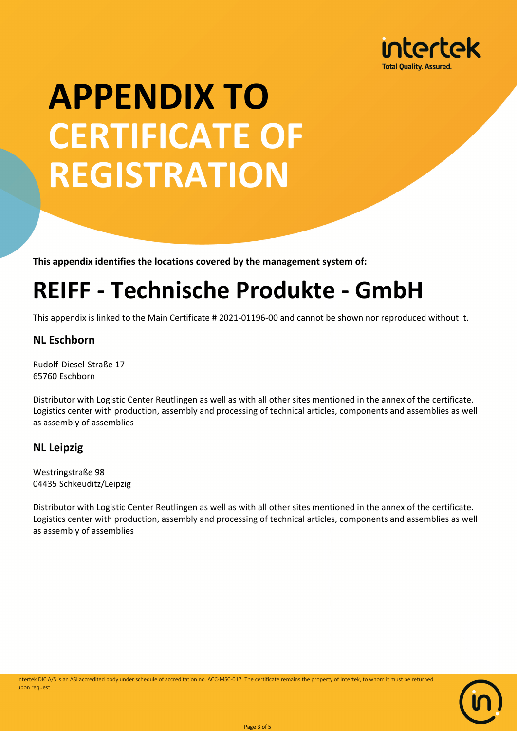

**This appendix identifies the locations covered by the management system of:**

### **REIFF - Technische Produkte - GmbH**

This appendix is linked to the Main Certificate # 2021-01196-00 and cannot be shown nor reproduced without it.

#### **NL Eschborn**

Rudolf-Diesel-Straße 17 65760 Eschborn

Distributor with Logistic Center Reutlingen as well as with all other sites mentioned in the annex of the certificate. Logistics center with production, assembly and processing of technical articles, components and assemblies as well as assembly of assemblies

#### **NL Leipzig**

Westringstraße 98 04435 Schkeuditz/Leipzig

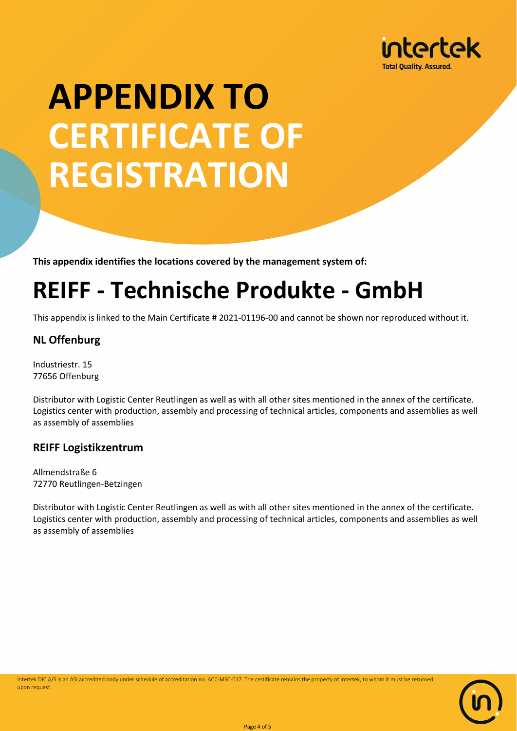

**This appendix identifies the locations covered by the management system of:**

### **REIFF - Technische Produkte - GmbH**

This appendix is linked to the Main Certificate # 2021-01196-00 and cannot be shown nor reproduced without it.

#### **NL Offenburg**

Industriestr. 15 77656 Offenburg

Distributor with Logistic Center Reutlingen as well as with all other sites mentioned in the annex of the certificate. Logistics center with production, assembly and processing of technical articles, components and assemblies as well as assembly of assemblies

#### **REIFF Logistikzentrum**

Allmendstraße 6 72770 Reutlingen-Betzingen